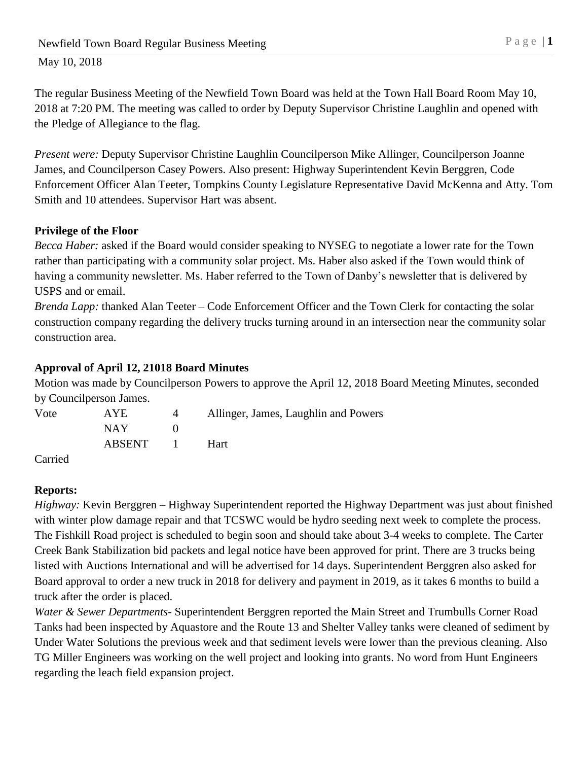The regular Business Meeting of the Newfield Town Board was held at the Town Hall Board Room May 10, 2018 at 7:20 PM. The meeting was called to order by Deputy Supervisor Christine Laughlin and opened with the Pledge of Allegiance to the flag.

*Present were:* Deputy Supervisor Christine Laughlin Councilperson Mike Allinger, Councilperson Joanne James, and Councilperson Casey Powers. Also present: Highway Superintendent Kevin Berggren, Code Enforcement Officer Alan Teeter, Tompkins County Legislature Representative David McKenna and Atty. Tom Smith and 10 attendees. Supervisor Hart was absent.

# **Privilege of the Floor**

*Becca Haber:* asked if the Board would consider speaking to NYSEG to negotiate a lower rate for the Town rather than participating with a community solar project. Ms. Haber also asked if the Town would think of having a community newsletter. Ms. Haber referred to the Town of Danby's newsletter that is delivered by USPS and or email.

*Brenda Lapp:* thanked Alan Teeter – Code Enforcement Officer and the Town Clerk for contacting the solar construction company regarding the delivery trucks turning around in an intersection near the community solar construction area.

# **Approval of April 12, 21018 Board Minutes**

Motion was made by Councilperson Powers to approve the April 12, 2018 Board Meeting Minutes, seconded by Councilperson James.

| Vote | AYE.   | $\overline{4}$ | Allinger, James, Laughlin and Powers |
|------|--------|----------------|--------------------------------------|
|      | NAY.   |                |                                      |
|      | ABSENT | $\mathbf{I}$   | <b>Hart</b>                          |
|      |        |                |                                      |

Carried

# **Reports:**

*Highway:* Kevin Berggren – Highway Superintendent reported the Highway Department was just about finished with winter plow damage repair and that TCSWC would be hydro seeding next week to complete the process. The Fishkill Road project is scheduled to begin soon and should take about 3-4 weeks to complete. The Carter Creek Bank Stabilization bid packets and legal notice have been approved for print. There are 3 trucks being listed with Auctions International and will be advertised for 14 days. Superintendent Berggren also asked for Board approval to order a new truck in 2018 for delivery and payment in 2019, as it takes 6 months to build a truck after the order is placed.

*Water & Sewer Departments*- Superintendent Berggren reported the Main Street and Trumbulls Corner Road Tanks had been inspected by Aquastore and the Route 13 and Shelter Valley tanks were cleaned of sediment by Under Water Solutions the previous week and that sediment levels were lower than the previous cleaning. Also TG Miller Engineers was working on the well project and looking into grants. No word from Hunt Engineers regarding the leach field expansion project.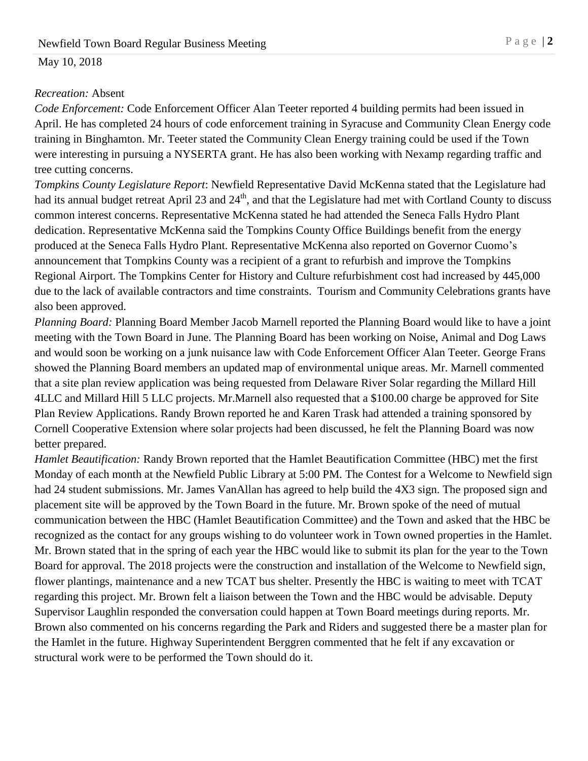#### *Recreation:* Absent

*Code Enforcement:* Code Enforcement Officer Alan Teeter reported 4 building permits had been issued in April. He has completed 24 hours of code enforcement training in Syracuse and Community Clean Energy code training in Binghamton. Mr. Teeter stated the Community Clean Energy training could be used if the Town were interesting in pursuing a NYSERTA grant. He has also been working with Nexamp regarding traffic and tree cutting concerns.

*Tompkins County Legislature Report*: Newfield Representative David McKenna stated that the Legislature had had its annual budget retreat April 23 and 24<sup>th</sup>, and that the Legislature had met with Cortland County to discuss common interest concerns. Representative McKenna stated he had attended the Seneca Falls Hydro Plant dedication. Representative McKenna said the Tompkins County Office Buildings benefit from the energy produced at the Seneca Falls Hydro Plant. Representative McKenna also reported on Governor Cuomo's announcement that Tompkins County was a recipient of a grant to refurbish and improve the Tompkins Regional Airport. The Tompkins Center for History and Culture refurbishment cost had increased by 445,000 due to the lack of available contractors and time constraints. Tourism and Community Celebrations grants have also been approved.

*Planning Board:* Planning Board Member Jacob Marnell reported the Planning Board would like to have a joint meeting with the Town Board in June. The Planning Board has been working on Noise, Animal and Dog Laws and would soon be working on a junk nuisance law with Code Enforcement Officer Alan Teeter. George Frans showed the Planning Board members an updated map of environmental unique areas. Mr. Marnell commented that a site plan review application was being requested from Delaware River Solar regarding the Millard Hill 4LLC and Millard Hill 5 LLC projects. Mr.Marnell also requested that a \$100.00 charge be approved for Site Plan Review Applications. Randy Brown reported he and Karen Trask had attended a training sponsored by Cornell Cooperative Extension where solar projects had been discussed, he felt the Planning Board was now better prepared.

*Hamlet Beautification:* Randy Brown reported that the Hamlet Beautification Committee (HBC) met the first Monday of each month at the Newfield Public Library at 5:00 PM. The Contest for a Welcome to Newfield sign had 24 student submissions. Mr. James VanAllan has agreed to help build the 4X3 sign. The proposed sign and placement site will be approved by the Town Board in the future. Mr. Brown spoke of the need of mutual communication between the HBC (Hamlet Beautification Committee) and the Town and asked that the HBC be recognized as the contact for any groups wishing to do volunteer work in Town owned properties in the Hamlet. Mr. Brown stated that in the spring of each year the HBC would like to submit its plan for the year to the Town Board for approval. The 2018 projects were the construction and installation of the Welcome to Newfield sign, flower plantings, maintenance and a new TCAT bus shelter. Presently the HBC is waiting to meet with TCAT regarding this project. Mr. Brown felt a liaison between the Town and the HBC would be advisable. Deputy Supervisor Laughlin responded the conversation could happen at Town Board meetings during reports. Mr. Brown also commented on his concerns regarding the Park and Riders and suggested there be a master plan for the Hamlet in the future. Highway Superintendent Berggren commented that he felt if any excavation or structural work were to be performed the Town should do it.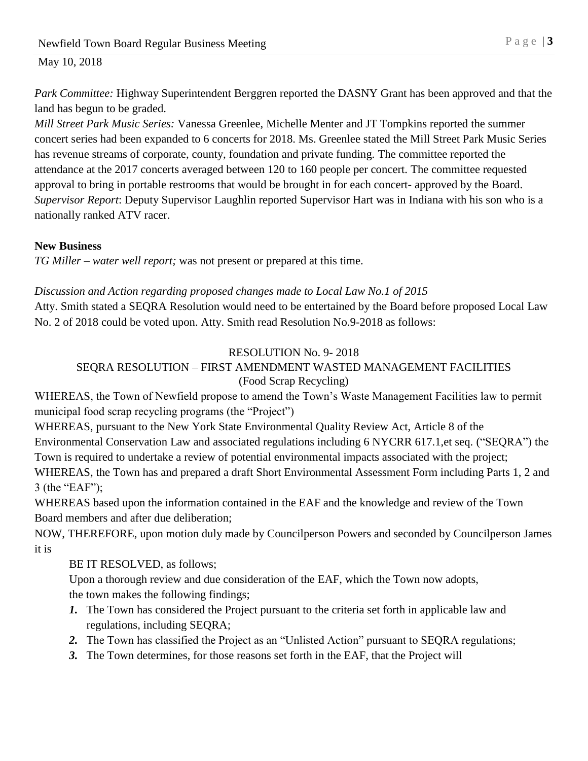*Park Committee:* Highway Superintendent Berggren reported the DASNY Grant has been approved and that the land has begun to be graded.

*Mill Street Park Music Series:* Vanessa Greenlee, Michelle Menter and JT Tompkins reported the summer concert series had been expanded to 6 concerts for 2018. Ms. Greenlee stated the Mill Street Park Music Series has revenue streams of corporate, county, foundation and private funding. The committee reported the attendance at the 2017 concerts averaged between 120 to 160 people per concert. The committee requested approval to bring in portable restrooms that would be brought in for each concert- approved by the Board. *Supervisor Report*: Deputy Supervisor Laughlin reported Supervisor Hart was in Indiana with his son who is a nationally ranked ATV racer.

#### **New Business**

*TG Miller – water well report;* was not present or prepared at this time.

## *Discussion and Action regarding proposed changes made to Local Law No.1 of 2015*

Atty. Smith stated a SEQRA Resolution would need to be entertained by the Board before proposed Local Law No. 2 of 2018 could be voted upon. Atty. Smith read Resolution No.9-2018 as follows:

## RESOLUTION No. 9- 2018

## SEQRA RESOLUTION – FIRST AMENDMENT WASTED MANAGEMENT FACILITIES (Food Scrap Recycling)

WHEREAS, the Town of Newfield propose to amend the Town's Waste Management Facilities law to permit municipal food scrap recycling programs (the "Project")

WHEREAS, pursuant to the New York State Environmental Quality Review Act, Article 8 of the Environmental Conservation Law and associated regulations including 6 NYCRR 617.1,et seq. ("SEQRA") the Town is required to undertake a review of potential environmental impacts associated with the project;

WHEREAS, the Town has and prepared a draft Short Environmental Assessment Form including Parts 1, 2 and 3 (the "EAF");

WHEREAS based upon the information contained in the EAF and the knowledge and review of the Town Board members and after due deliberation;

NOW, THEREFORE, upon motion duly made by Councilperson Powers and seconded by Councilperson James it is

BE IT RESOLVED, as follows;

Upon a thorough review and due consideration of the EAF, which the Town now adopts, the town makes the following findings;

- *1.* The Town has considered the Project pursuant to the criteria set forth in applicable law and regulations, including SEQRA;
- *2.* The Town has classified the Project as an "Unlisted Action" pursuant to SEQRA regulations;
- *3.* The Town determines, for those reasons set forth in the EAF, that the Project will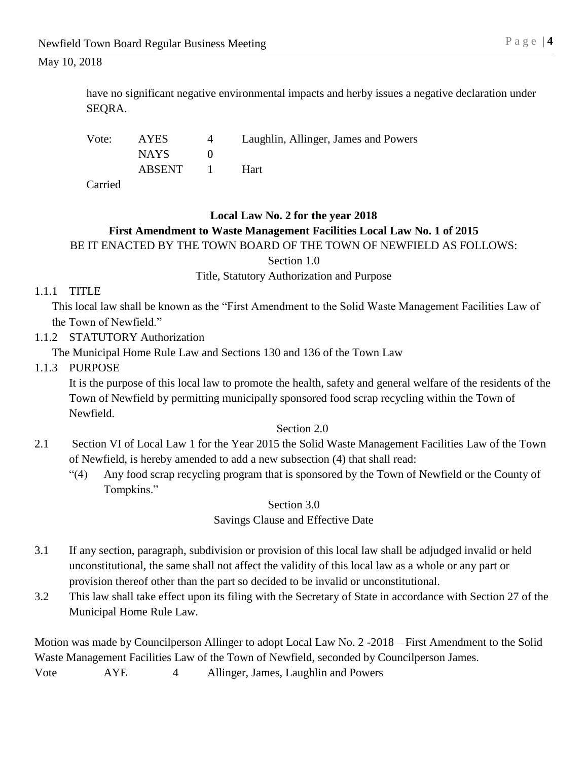have no significant negative environmental impacts and herby issues a negative declaration under SEQRA.

| Vote:         | AYES.            | $\overline{4}$ | Laughlin, Allinger, James and Powers |
|---------------|------------------|----------------|--------------------------------------|
|               | NAYS <b>NATA</b> |                |                                      |
|               | ABSENT 1         |                | – Hart                               |
| $\sim$ $\sim$ |                  |                |                                      |

Carried

# **Local Law No. 2 for the year 2018 First Amendment to Waste Management Facilities Local Law No. 1 of 2015** BE IT ENACTED BY THE TOWN BOARD OF THE TOWN OF NEWFIELD AS FOLLOWS:

Section 1.0

Title, Statutory Authorization and Purpose

## 1.1.1 TITLE

This local law shall be known as the "First Amendment to the Solid Waste Management Facilities Law of the Town of Newfield."

1.1.2 STATUTORY Authorization

The Municipal Home Rule Law and Sections 130 and 136 of the Town Law

1.1.3 PURPOSE

It is the purpose of this local law to promote the health, safety and general welfare of the residents of the Town of Newfield by permitting municipally sponsored food scrap recycling within the Town of Newfield.

## Section 2.0

- 2.1 Section VI of Local Law 1 for the Year 2015 the Solid Waste Management Facilities Law of the Town of Newfield, is hereby amended to add a new subsection (4) that shall read:
	- "(4) Any food scrap recycling program that is sponsored by the Town of Newfield or the County of Tompkins."

Section 3.0

Savings Clause and Effective Date

- 3.1 If any section, paragraph, subdivision or provision of this local law shall be adjudged invalid or held unconstitutional, the same shall not affect the validity of this local law as a whole or any part or provision thereof other than the part so decided to be invalid or unconstitutional.
- 3.2 This law shall take effect upon its filing with the Secretary of State in accordance with Section 27 of the Municipal Home Rule Law.

Motion was made by Councilperson Allinger to adopt Local Law No. 2 -2018 – First Amendment to the Solid Waste Management Facilities Law of the Town of Newfield, seconded by Councilperson James. Vote AYE 4 Allinger, James, Laughlin and Powers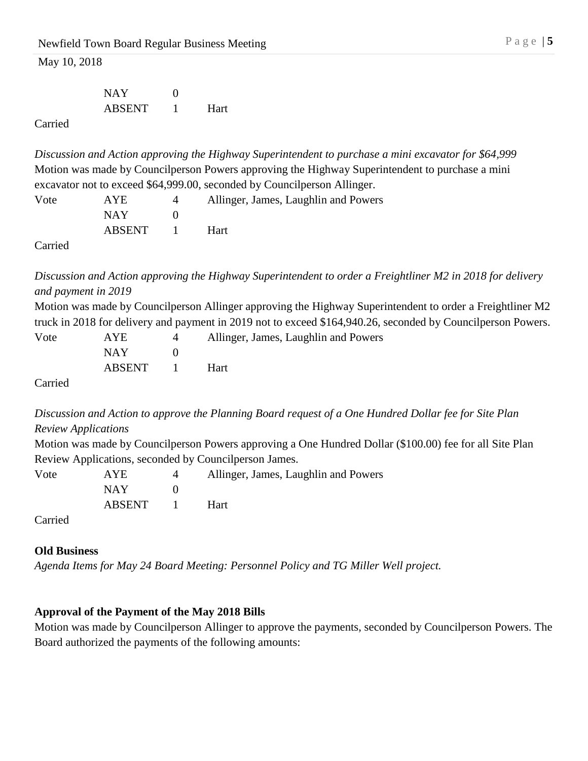NAY 0 ABSENT 1 Hart

Carried

*Discussion and Action approving the Highway Superintendent to purchase a mini excavator for \$64,999*  Motion was made by Councilperson Powers approving the Highway Superintendent to purchase a mini excavator not to exceed \$64,999.00, seconded by Councilperson Allinger.

| Vote | <b>AYE</b> |                          | Allinger, James, Laughlin and Powers |
|------|------------|--------------------------|--------------------------------------|
|      | NAY .      |                          |                                      |
|      | ABSENT     | <b>Contract Contract</b> | <b>Hart</b>                          |
| __   |            |                          |                                      |

Carried

*Discussion and Action approving the Highway Superintendent to order a Freightliner M2 in 2018 for delivery and payment in 2019*

Motion was made by Councilperson Allinger approving the Highway Superintendent to order a Freightliner M2 truck in 2018 for delivery and payment in 2019 not to exceed \$164,940.26, seconded by Councilperson Powers.

| Vote    | AYE        | 4 | Allinger, James, Laughlin and Powers |
|---------|------------|---|--------------------------------------|
|         | <b>NAY</b> |   |                                      |
|         | ABSENT 1   |   | Hart                                 |
| Carried |            |   |                                      |

*Discussion and Action to approve the Planning Board request of a One Hundred Dollar fee for Site Plan Review Applications*

Motion was made by Councilperson Powers approving a One Hundred Dollar (\$100.00) fee for all Site Plan Review Applications, seconded by Councilperson James.

| Vote | AYE.   |                | Allinger, James, Laughlin and Powers |
|------|--------|----------------|--------------------------------------|
|      | NAY.   |                |                                      |
|      | ABSENT | $\blacksquare$ | <b>Hart</b>                          |
|      |        |                |                                      |

Carried

## **Old Business**

*Agenda Items for May 24 Board Meeting: Personnel Policy and TG Miller Well project.*

## **Approval of the Payment of the May 2018 Bills**

Motion was made by Councilperson Allinger to approve the payments, seconded by Councilperson Powers. The Board authorized the payments of the following amounts: